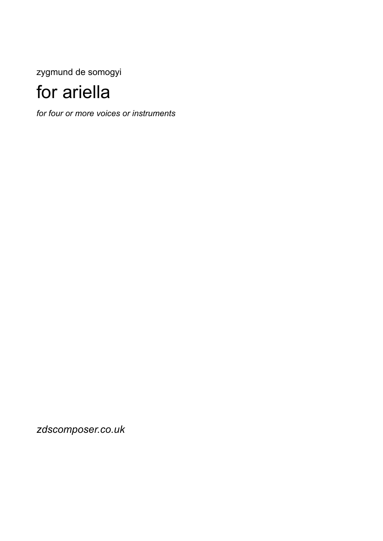zygmund de somogyi

## for ariella

*for four or more voices or instruments* 

*zdscomposer.co.uk*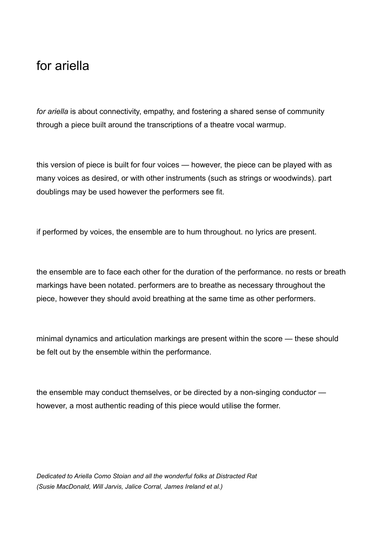## for ariella

*for ariella* is about connectivity, empathy, and fostering a shared sense of community through a piece built around the transcriptions of a theatre vocal warmup.

this version of piece is built for four voices — however, the piece can be played with as many voices as desired, or with other instruments (such as strings or woodwinds). part doublings may be used however the performers see fit.

if performed by voices, the ensemble are to hum throughout. no lyrics are present.

the ensemble are to face each other for the duration of the performance. no rests or breath markings have been notated. performers are to breathe as necessary throughout the piece, however they should avoid breathing at the same time as other performers.

minimal dynamics and articulation markings are present within the score — these should be felt out by the ensemble within the performance.

the ensemble may conduct themselves, or be directed by a non-singing conductor however, a most authentic reading of this piece would utilise the former.

*Dedicated to Ariella Como Stoian and all the wonderful folks at Distracted Rat (Susie MacDonald, Will Jarvis, Jalice Corral, James Ireland et al.)*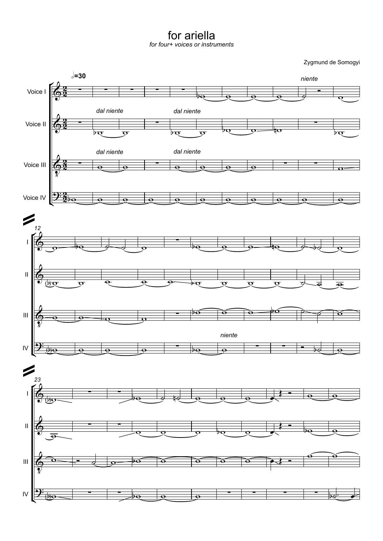for ariella

*for four+ voices orinstruments*

Zygmund de Somogyi

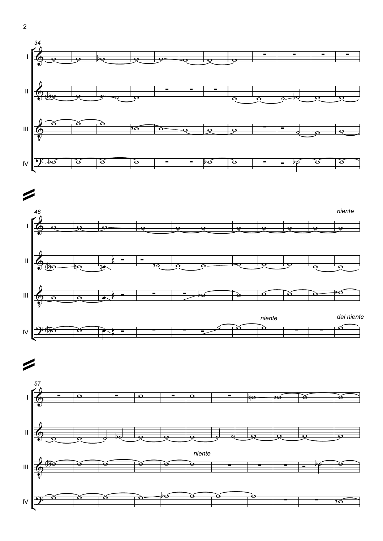

![](_page_3_Figure_1.jpeg)

![](_page_3_Figure_2.jpeg)